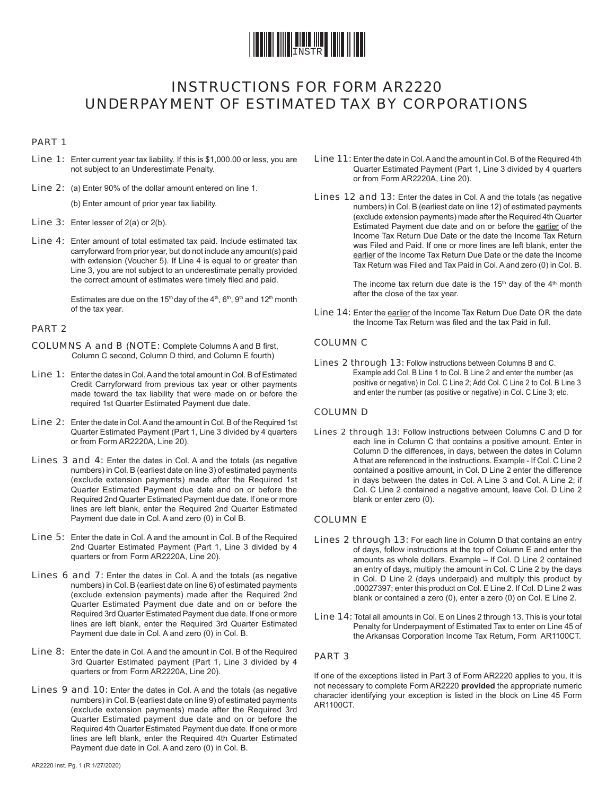

## INSTRUCTIONS FOR FORM AR2220 UNDERPAYMENT OF ESTIMATED TAX BY CORPORATIONS

#### PART 1

- Line 1: Enter current year tax liability. If this is \$1,000.00 or less, you are not subject to an Underestimate Penalty.
- Line 2: (a) Enter 90% of the dollar amount entered on line 1.

(b) Enter amount of prior year tax liability.

- Line 3: Enter lesser of 2(a) or 2(b).
- Line 4: Enter amount of total estimated tax paid. Include estimated tax carryforward from prior year, but do not include any amount(s) paid with extension (Voucher 5). If Line 4 is equal to or greater than Line 3, you are not subject to an underestimate penalty provided the correct amount of estimates were timely filed and paid.

Estimates are due on the 15<sup>th</sup> day of the 4<sup>th</sup>, 6<sup>th</sup>, 9<sup>th</sup> and 12<sup>th</sup> month of the tax year.

#### PART 2

- COLUMNS A and B (NOTE: Complete Columns A and B first, Column C second, Column D third, and Column E fourth)
- Line 1: Enter the dates in Col. A and the total amount in Col. B of Estimated Credit Carryforward from previous tax year or other payments made toward the tax liability that were made on or before the required 1st Quarter Estimated Payment due date.
- Line 2: Enter the date in Col. A and the amount in Col. B of the Required 1st Quarter Estimated Payment (Part 1, Line 3 divided by 4 quarters or from Form AR2220A, Line 20).
- Lines 3 and 4: Enter the dates in Col. A and the totals (as negative numbers) in Col. B (earliest date on line 3) of estimated payments (exclude extension payments) made after the Required 1st Quarter Estimated Payment due date and on or before the Required 2nd Quarter Estimated Payment due date. If one or more lines are left blank, enter the Required 2nd Quarter Estimated Payment due date in Col. A and zero (0) in Col B.
- Line 5: Enter the date in Col. A and the amount in Col. B of the Required 2nd Quarter Estimated Payment (Part 1, Line 3 divided by 4 quarters or from Form AR2220A, Line 20).
- Lines 6 and 7: Enter the dates in Col. A and the totals (as negative numbers) in Col. B (earliest date on line 6) of estimated payments (exclude extension payments) made after the Required 2nd Quarter Estimated Payment due date and on or before the Required 3rd Quarter Estimated Payment due date. If one or more lines are left blank, enter the Required 3rd Quarter Estimated Payment due date in Col. A and zero (0) in Col. B.
- Line 8: Enter the date in Col. A and the amount in Col. B of the Required 3rd Quarter Estimated payment (Part 1, Line 3 divided by 4 quarters or from Form AR2220A, Line 20).
- Lines 9 and 10: Enter the dates in Col. A and the totals (as negative numbers) in Col. B (earliest date on line 9) of estimated payments (exclude extension payments) made after the Required 3rd Quarter Estimated payment due date and on or before the Required 4th Quarter Estimated Payment due date. If one or more lines are left blank, enter the Required 4th Quarter Estimated Payment due date in Col. A and zero (0) in Col. B.
- Line 11: Enter the date in Col. A and the amount in Col. B of the Required 4th Quarter Estimated Payment (Part 1, Line 3 divided by 4 quarters or from Form AR2220A, Line 20).
- Lines 12 and 13: Enter the dates in Col. A and the totals (as negative numbers) in Col. B (earliest date on line 12) of estimated payments (exclude extension payments) made after the Required 4th Quarter Estimated Payment due date and on or before the earlier of the Income Tax Return Due Date or the date the Income Tax Return was Filed and Paid. If one or more lines are left blank, enter the earlier of the Income Tax Return Due Date or the date the Income Tax Return was Filed and Tax Paid in Col. A and zero (0) in Col. B.

The income tax return due date is the  $15<sup>th</sup>$  day of the  $4<sup>th</sup>$  month after the close of the tax year.

Line 14: Enter the earlier of the Income Tax Return Due Date OR the date the Income Tax Return was filed and the tax Paid in full.

#### COLUMN C

Lines 2 through 13: Follow instructions between Columns B and C. Example add Col. B Line 1 to Col. B Line 2 and enter the number (as positive or negative) in Col. C Line 2; Add Col. C Line 2 to Col. B Line 3 and enter the number (as positive or negative) in Col. C Line 3; etc.

#### COLUMN D

Lines 2 through 13: Follow instructions between Columns C and D for each line in Column C that contains a positive amount. Enter in Column D the differences, in days, between the dates in Column A that are referenced in the instructions. Example - If Col. C Line 2 contained a positive amount, in Col. D Line 2 enter the difference in days between the dates in Col. A Line 3 and Col. A Line 2; if Col. C Line 2 contained a negative amount, leave Col. D Line 2 blank or enter zero (0).

#### COLUMN E

- Lines 2 through 13: For each line in Column D that contains an entry of days, follow instructions at the top of Column E and enter the amounts as whole dollars. Example – If Col. D Line 2 contained an entry of days, multiply the amount in Col. C Line 2 by the days in Col. D Line 2 (days underpaid) and multiply this product by .00027397; enter this product on Col. E Line 2. If Col. D Line 2 was blank or contained a zero (0), enter a zero (0) on Col. E Line 2.
- Line 14: Total all amounts in Col. E on Lines 2 through 13. This is your total Penalty for Underpayment of Estimated Tax to enter on Line 45 of the Arkansas Corporation Income Tax Return, Form AR1100CT.

#### PART 3

If one of the exceptions listed in Part 3 of Form AR2220 applies to you, it is not necessary to complete Form AR2220 **provided** the appropriate numeric character identifying your exception is listed in the block on Line 45 Form AR1100CT.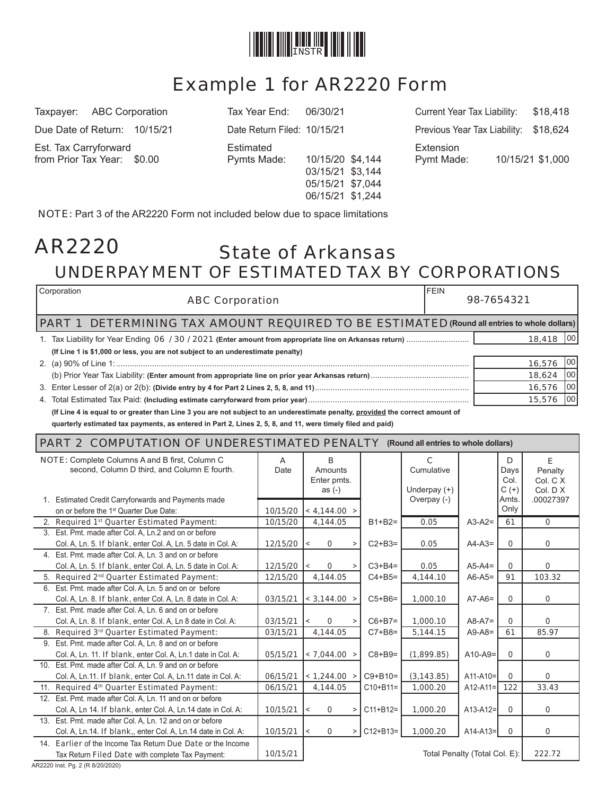

# Example 1 for AR2220 Form

Est. Tax Carryforward Estimated Extension

03/15/21 \$3,144 05/15/21 \$7,044 06/15/21 \$1,244

Taxpayer: ABC Corporation Tax Year End: 06/30/21 Current Year Tax Liability: \$18,418 Due Date of Return: 10/15/21 Date Return Filed: 10/15/21 Previous Year Tax Liability: \$18,624 from Prior Tax Year: \$0.00 Pymts Made: 10/15/20 \$4,144 Pymt Made: 10/15/21 \$1,000

NOTE: Part 3 of the AR2220 Form not included below due to space limitations

## State of Arkansas UNDERPAYMENT OF ESTIMATED TAX BY CORPORATIONS AR2220

| Corporation<br><b>ABC Corporation</b>                                                                        | 98-7654321 |        |      |
|--------------------------------------------------------------------------------------------------------------|------------|--------|------|
| <b>DETERMINING TAX AMOUNT REQUIRED TO BE ESTIMATED (Round all entries to whole dollars)</b><br><b>PART 1</b> |            |        |      |
|                                                                                                              |            | 18,418 | 1001 |
| (If Line 1 is \$1,000 or less, you are not subject to an underestimate penalty)                              |            |        |      |
|                                                                                                              |            | 16,576 | 100  |
|                                                                                                              |            | 18,624 | 100  |
|                                                                                                              |            | 16,576 | 100  |
|                                                                                                              |            | 15,576 | 100  |
|                                                                                                              |            |        |      |

**(If Line 4 is equal to or greater than Line 3 you are not subject to an underestimate penalty, provided the correct amount of** 

quarterly estimated tax payments, as entered in Part 2, Lines 2, 5, 8, and 11, were timely filed and paid)

#### PART 2 COMPUTATION OF UNDERESTIMATED PENALTY **(Round all entries to whole dollars)**

| <b>NOTE:</b> Complete Columns A and B first, Column C<br>A |                                                               |               |         | B                    |   |               | $\mathbf{C}$   |                               | D           | E            |
|------------------------------------------------------------|---------------------------------------------------------------|---------------|---------|----------------------|---|---------------|----------------|-------------------------------|-------------|--------------|
|                                                            | second, Column D third, and Column E fourth.                  | Date          |         | Amounts              |   |               | Cumulative     |                               | Days        | Penalty      |
|                                                            |                                                               |               |         | Enter pmts.          |   |               |                |                               | Col.        | Col. C X     |
|                                                            |                                                               |               |         | as $(-)$             |   |               | Underpay $(+)$ |                               | $C (+)$     | Col. $D$ $X$ |
|                                                            | 1. Estimated Credit Carryforwards and Payments made           |               |         |                      |   |               | Overpay (-)    |                               | Amts.       | .00027397    |
|                                                            | on or before the 1 <sup>st</sup> Quarter Due Date:            | 10/15/20      |         | < 4,144.00 >         |   |               |                |                               | Only        |              |
|                                                            | 2. Required 1st Quarter Estimated Payment:                    | 10/15/20      |         | 4,144.05             |   | $B1+B2=$      | 0.05           | $A3-A2=$                      | 61          | $\mathbf{0}$ |
|                                                            | 3. Est. Pmt. made after Col. A, Ln.2 and on or before         |               |         |                      |   |               |                |                               |             |              |
|                                                            | Col. A, Ln. 5. If blank, enter Col. A, Ln. 5 date in Col. A:  | 12/15/20      | $\prec$ | 0                    | > | $C2+B3=$      | 0.05           | $A4-A3=$                      | 0           | 0            |
|                                                            | 4. Est. Pmt. made after Col. A, Ln. 3 and on or before        |               |         |                      |   |               |                |                               |             |              |
|                                                            | Col. A, Ln. 5. If blank, enter Col. A, Ln. 5 date in Col. A:  | $12/15/20$  < |         | $\mathbf 0$          | > | $C3 + B4 =$   | 0.05           | $A5-A4=$                      | $\mathbf 0$ | 0            |
|                                                            | 5. Required 2 <sup>nd</sup> Quarter Estimated Payment:        | 12/15/20      |         | 4,144.05             |   | $C4 + B5 =$   | 4,144.10       | $A6-A5=$                      | 91          | 103.32       |
| 6.                                                         | Est. Pmt. made after Col. A, Ln. 5 and on or before           |               |         |                      |   |               |                |                               |             |              |
|                                                            | Col. A, Ln. 8. If blank, enter Col. A, Ln. 8 date in Col. A:  | 03/15/21      |         | $\vert$ < 3,144.00 > |   | $C5+BB=$      | 1,000.10       | $A7-A6=$                      | 0           | 0            |
|                                                            | 7. Est. Pmt. made after Col. A, Ln. 6 and on or before        |               |         |                      |   |               |                |                               |             |              |
|                                                            | Col. A, Ln. 8. If blank, enter Col. A, Ln 8 date in Col. A:   | 03/15/21      | $\,<$   | $\Omega$             |   | $C6+B7=$      | 1,000.10       | $A8-A7=$                      | $\Omega$    | $\Omega$     |
|                                                            | 8. Required 3rd Quarter Estimated Payment:                    | 03/15/21      |         | 4,144.05             |   | $C7+B8=$      | 5,144.15       | $A9-A8=$                      | 61          | 85.97        |
|                                                            | 9. Est. Pmt. made after Col. A, Ln. 8 and on or before        |               |         |                      |   |               |                |                               |             |              |
|                                                            | Col. A, Ln. 11. If blank, enter Col. A, Ln.1 date in Col. A:  | 05/15/21      |         | < 7,044.00 >         |   | $C8+B9=$      | (1,899.85)     | $A10-A9=$                     | $\Omega$    | $\mathbf 0$  |
|                                                            | 10. Est. Pmt. made after Col. A, Ln. 9 and on or before       |               |         |                      |   |               |                |                               |             |              |
|                                                            | Col. A. Ln.11. If blank, enter Col. A, Ln.11 date in Col. A:  | 06/15/21      |         | < 1,244.00           |   | $C9 + B10 =$  | (3, 143.85)    | $A11-A10=$                    | 0           | 0            |
|                                                            | 11. Required 4th Quarter Estimated Payment:                   | 06/15/21      |         | 4,144.05             |   | $C10 + B11 =$ | 1,000.20       | $A12-A11=$                    | 122         | 33.43        |
|                                                            | 12. Est. Pmt. made after Col. A, Ln. 11 and on or before      |               |         |                      |   |               |                |                               |             |              |
|                                                            | Col. A. Ln 14. If blank, enter Col. A. Ln.14 date in Col. A:  | 10/15/21      | $\,<$   | $\mathbf 0$          | > | $C11 + B12 =$ | 1,000.20       | $A13-A12=$                    | $\mathbf 0$ | 0            |
|                                                            | 13. Est. Pmt. made after Col. A, Ln. 12 and on or before      |               |         |                      |   |               |                |                               |             |              |
|                                                            | Col. A, Ln.14. If blank,, enter Col. A, Ln.14 date in Col. A: | 10/15/21      | $\,<$   | $\mathbf 0$          | > | $C12 + B13 =$ | 1,000.20       | $A14-A13=$                    | $\mathbf 0$ | 0            |
|                                                            | 14. Earlier of the Income Tax Return Due Date or the Income   |               |         |                      |   |               |                |                               |             |              |
|                                                            | Tax Return Filed Date with complete Tax Payment:              | 10/15/21      |         |                      |   |               |                | Total Penalty (Total Col. E): |             | 222.72       |

AR2220 Inst. Pg. 2 (R 8/20/2020)